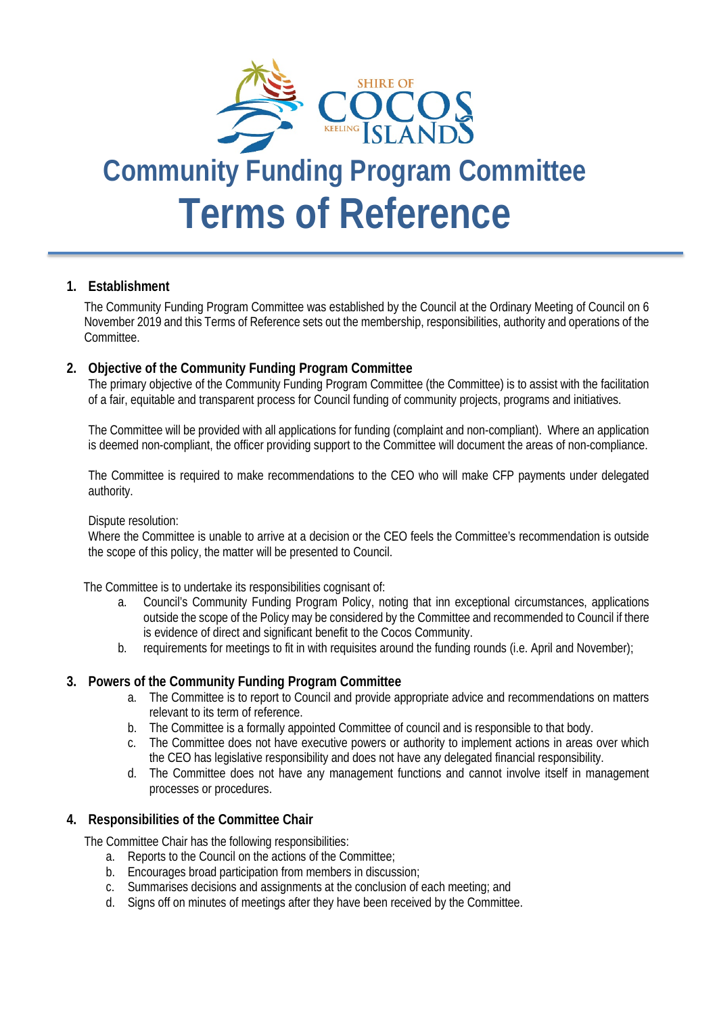

# **Community Funding Program Committee Terms of Reference**

#### **1. Establishment**

The Community Funding Program Committee was established by the Council at the Ordinary Meeting of Council on 6 November 2019 and this Terms of Reference sets out the membership, responsibilities, authority and operations of the Committee.

#### **2. Objective of the Community Funding Program Committee**

The primary objective of the Community Funding Program Committee (the Committee) is to assist with the facilitation of a fair, equitable and transparent process for Council funding of community projects, programs and initiatives.

The Committee will be provided with all applications for funding (complaint and non-compliant). Where an application is deemed non-compliant, the officer providing support to the Committee will document the areas of non-compliance.

The Committee is required to make recommendations to the CEO who will make CFP payments under delegated authority.

#### Dispute resolution:

Where the Committee is unable to arrive at a decision or the CEO feels the Committee's recommendation is outside the scope of this policy, the matter will be presented to Council.

The Committee is to undertake its responsibilities cognisant of:

- a. Council's Community Funding Program Policy, noting that inn exceptional circumstances, applications outside the scope of the Policy may be considered by the Committee and recommended to Council if there is evidence of direct and significant benefit to the Cocos Community.
- b. requirements for meetings to fit in with requisites around the funding rounds (i.e. April and November);

#### **3. Powers of the Community Funding Program Committee**

- a. The Committee is to report to Council and provide appropriate advice and recommendations on matters relevant to its term of reference.
- b. The Committee is a formally appointed Committee of council and is responsible to that body.
- c. The Committee does not have executive powers or authority to implement actions in areas over which the CEO has legislative responsibility and does not have any delegated financial responsibility.
- d. The Committee does not have any management functions and cannot involve itself in management processes or procedures.

#### **4. Responsibilities of the Committee Chair**

The Committee Chair has the following responsibilities:

- a. Reports to the Council on the actions of the Committee;
- b. Encourages broad participation from members in discussion;
- c. Summarises decisions and assignments at the conclusion of each meeting; and
- d. Signs off on minutes of meetings after they have been received by the Committee.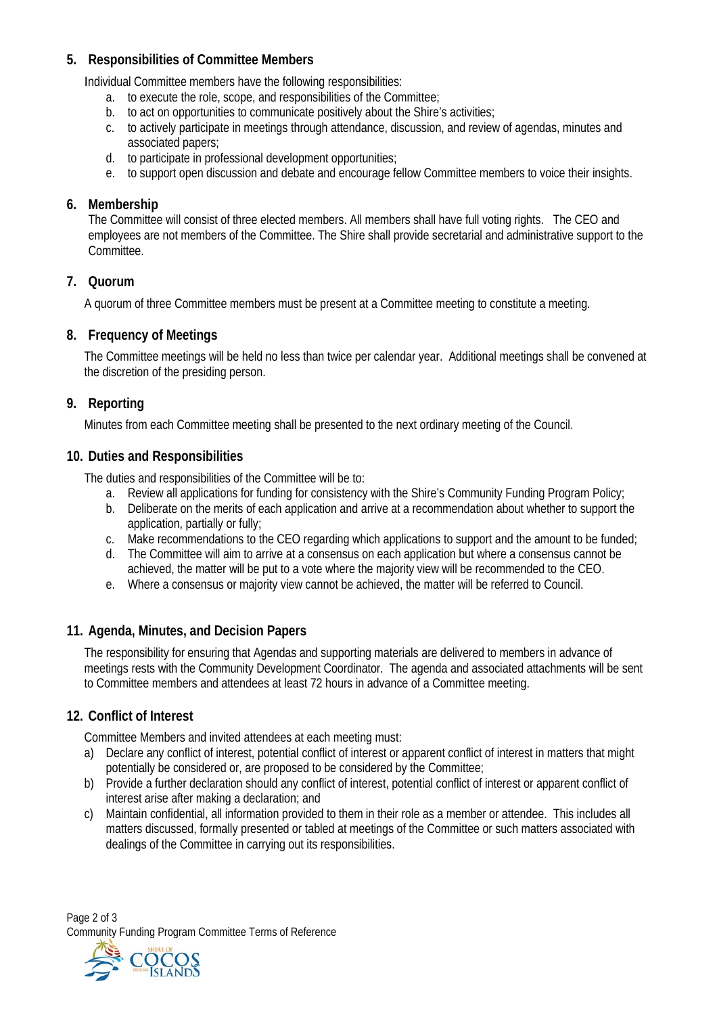# **5. Responsibilities of Committee Members**

Individual Committee members have the following responsibilities:

- a. to execute the role, scope, and responsibilities of the Committee;
- b. to act on opportunities to communicate positively about the Shire's activities;
- c. to actively participate in meetings through attendance, discussion, and review of agendas, minutes and associated papers;
- d. to participate in professional development opportunities;
- e. to support open discussion and debate and encourage fellow Committee members to voice their insights.

## **6. Membership**

The Committee will consist of three elected members. All members shall have full voting rights. The CEO and employees are not members of the Committee. The Shire shall provide secretarial and administrative support to the Committee.

## **7. Quorum**

A quorum of three Committee members must be present at a Committee meeting to constitute a meeting.

## **8. Frequency of Meetings**

The Committee meetings will be held no less than twice per calendar year. Additional meetings shall be convened at the discretion of the presiding person.

## **9. Reporting**

Minutes from each Committee meeting shall be presented to the next ordinary meeting of the Council.

## **10. Duties and Responsibilities**

The duties and responsibilities of the Committee will be to:

- a. Review all applications for funding for consistency with the Shire's Community Funding Program Policy;
- b. Deliberate on the merits of each application and arrive at a recommendation about whether to support the application, partially or fully;
- c. Make recommendations to the CEO regarding which applications to support and the amount to be funded;
- d. The Committee will aim to arrive at a consensus on each application but where a consensus cannot be achieved, the matter will be put to a vote where the majority view will be recommended to the CEO.
- e. Where a consensus or majority view cannot be achieved, the matter will be referred to Council.

## **11. Agenda, Minutes, and Decision Papers**

The responsibility for ensuring that Agendas and supporting materials are delivered to members in advance of meetings rests with the Community Development Coordinator. The agenda and associated attachments will be sent to Committee members and attendees at least 72 hours in advance of a Committee meeting.

## **12. Conflict of Interest**

Committee Members and invited attendees at each meeting must:

- a) Declare any conflict of interest, potential conflict of interest or apparent conflict of interest in matters that might potentially be considered or, are proposed to be considered by the Committee;
- b) Provide a further declaration should any conflict of interest, potential conflict of interest or apparent conflict of interest arise after making a declaration; and
- c) Maintain confidential, all information provided to them in their role as a member or attendee. This includes all matters discussed, formally presented or tabled at meetings of the Committee or such matters associated with dealings of the Committee in carrying out its responsibilities.